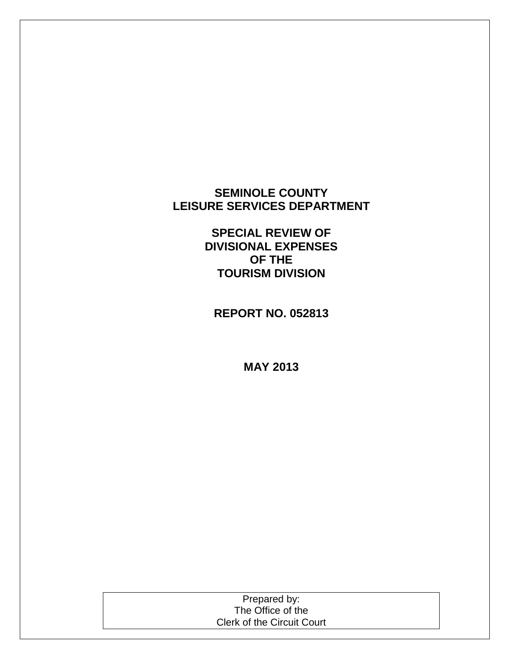# **SEMINOLE COUNTY LEISURE SERVICES DEPARTMENT**

**SPECIAL REVIEW OF DIVISIONAL EXPENSES OF THE TOURISM DIVISION**

**REPORT NO. 052813**

**MAY 2013**

| Prepared by:                      |  |
|-----------------------------------|--|
| The Office of the                 |  |
| <b>Clerk of the Circuit Court</b> |  |
|                                   |  |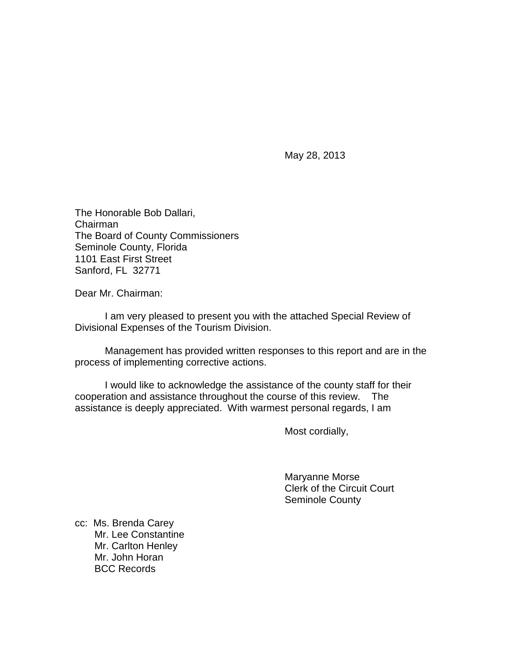May 28, 2013

The Honorable Bob Dallari, Chairman The Board of County Commissioners Seminole County, Florida 1101 East First Street Sanford, FL 32771

Dear Mr. Chairman:

I am very pleased to present you with the attached Special Review of Divisional Expenses of the Tourism Division.

Management has provided written responses to this report and are in the process of implementing corrective actions.

I would like to acknowledge the assistance of the county staff for their cooperation and assistance throughout the course of this review. The assistance is deeply appreciated. With warmest personal regards, I am

Most cordially,

Maryanne Morse Clerk of the Circuit Court Seminole County

cc: Ms. Brenda Carey Mr. Lee Constantine Mr. Carlton Henley Mr. John Horan BCC Records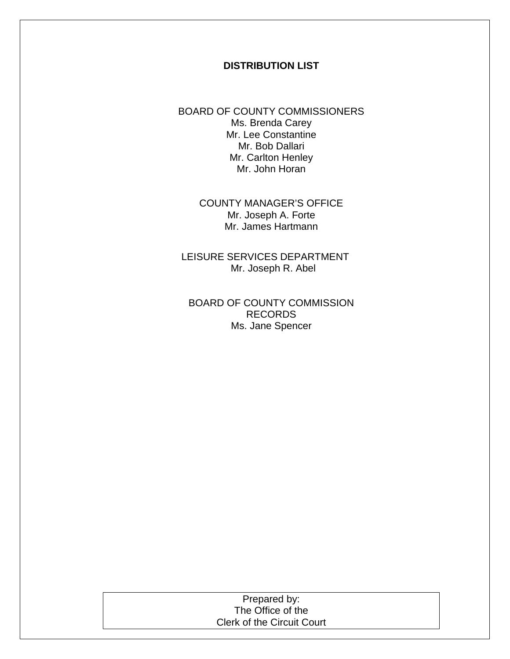#### **DISTRIBUTION LIST**

BOARD OF COUNTY COMMISSIONERS Ms. Brenda Carey Mr. Lee Constantine Mr. Bob Dallari Mr. Carlton Henley Mr. John Horan

> COUNTY MANAGER'S OFFICE Mr. Joseph A. Forte Mr. James Hartmann

LEISURE SERVICES DEPARTMENT Mr. Joseph R. Abel

BOARD OF COUNTY COMMISSION RECORDS Ms. Jane Spencer

| Prepared by:                      |  |
|-----------------------------------|--|
| The Office of the                 |  |
| <b>Clerk of the Circuit Court</b> |  |
|                                   |  |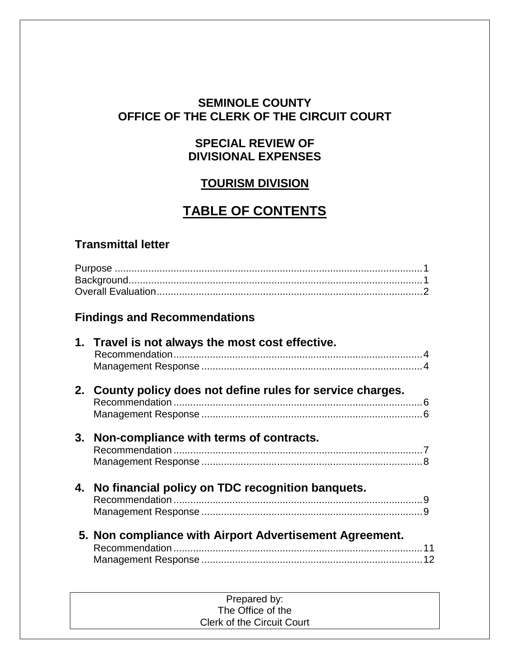# **SEMINOLE COUNTY OFFICE OF THE CLERK OF THE CIRCUIT COURT**

# **SPECIAL REVIEW OF DIVISIONAL EXPENSES**

# **TOURISM DIVISION**

# **TABLE OF CONTENTS**

# **Transmittal letter**

|    | <b>Findings and Recommendations</b>                      |
|----|----------------------------------------------------------|
|    | 1. Travel is not always the most cost effective.         |
| 2. | County policy does not define rules for service charges. |
| 3. | Non-compliance with terms of contracts.                  |
| 4. | No financial policy on TDC recognition banquets.         |
|    | 5. Non compliance with Airport Advertisement Agreement.  |

| Prepared by:                      |
|-----------------------------------|
| The Office of the                 |
| <b>Clerk of the Circuit Court</b> |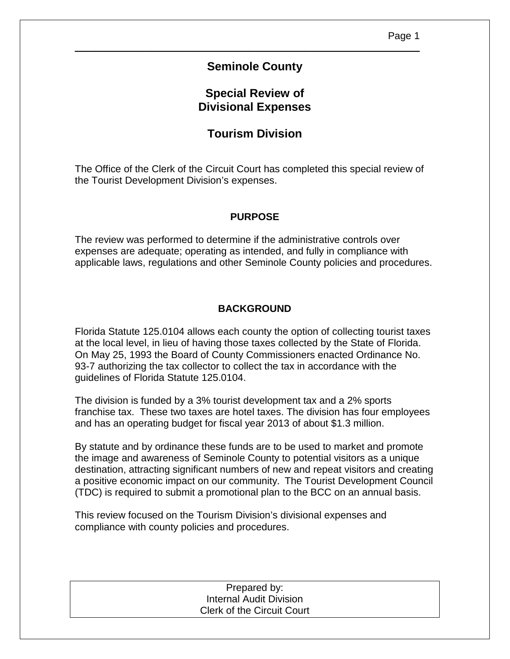## **Seminole County**

\_\_\_\_\_\_\_\_\_\_\_\_\_\_\_\_\_\_\_\_\_\_\_\_\_\_\_\_\_\_\_\_\_\_\_\_\_\_\_\_\_\_\_\_\_\_\_\_\_\_\_\_\_\_\_\_\_\_\_\_\_\_\_\_\_\_\_\_\_

## **Special Review of Divisional Expenses**

# **Tourism Division**

The Office of the Clerk of the Circuit Court has completed this special review of the Tourist Development Division's expenses.

#### **PURPOSE**

The review was performed to determine if the administrative controls over expenses are adequate; operating as intended, and fully in compliance with applicable laws, regulations and other Seminole County policies and procedures.

### **BACKGROUND**

Florida Statute 125.0104 allows each county the option of collecting tourist taxes at the local level, in lieu of having those taxes collected by the State of Florida. On May 25, 1993 the Board of County Commissioners enacted Ordinance No. 93-7 authorizing the tax collector to collect the tax in accordance with the guidelines of Florida Statute 125.0104.

The division is funded by a 3% tourist development tax and a 2% sports franchise tax. These two taxes are hotel taxes. The division has four employees and has an operating budget for fiscal year 2013 of about \$1.3 million.

By statute and by ordinance these funds are to be used to market and promote the image and awareness of Seminole County to potential visitors as a unique destination, attracting significant numbers of new and repeat visitors and creating a positive economic impact on our community. The Tourist Development Council (TDC) is required to submit a promotional plan to the BCC on an annual basis.

This review focused on the Tourism Division's divisional expenses and compliance with county policies and procedures.

| Prepared by:                      |
|-----------------------------------|
| <b>Internal Audit Division</b>    |
| <b>Clerk of the Circuit Court</b> |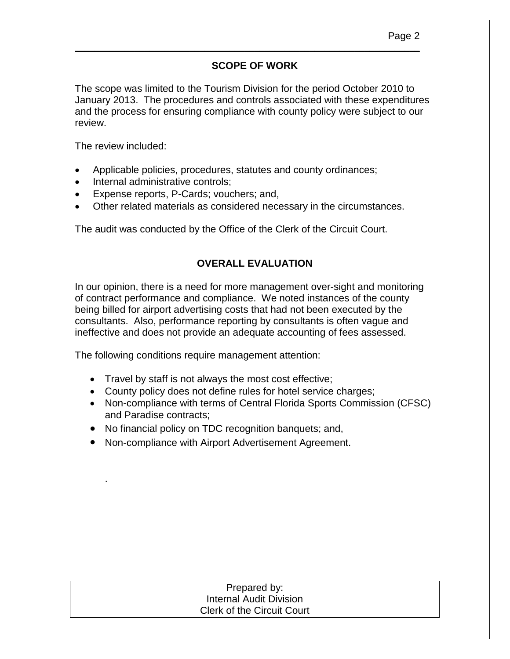### **SCOPE OF WORK**

\_\_\_\_\_\_\_\_\_\_\_\_\_\_\_\_\_\_\_\_\_\_\_\_\_\_\_\_\_\_\_\_\_\_\_\_\_\_\_\_\_\_\_\_\_\_\_\_\_\_\_\_\_\_\_\_\_\_\_\_\_\_\_\_\_\_\_\_\_

The scope was limited to the Tourism Division for the period October 2010 to January 2013. The procedures and controls associated with these expenditures and the process for ensuring compliance with county policy were subject to our review.

The review included:

.

- Applicable policies, procedures, statutes and county ordinances;
- Internal administrative controls;
- Expense reports, P-Cards; vouchers; and,
- Other related materials as considered necessary in the circumstances.

The audit was conducted by the Office of the Clerk of the Circuit Court.

### **OVERALL EVALUATION**

In our opinion, there is a need for more management over-sight and monitoring of contract performance and compliance. We noted instances of the county being billed for airport advertising costs that had not been executed by the consultants. Also, performance reporting by consultants is often vague and ineffective and does not provide an adequate accounting of fees assessed.

The following conditions require management attention:

- Travel by staff is not always the most cost effective;
- County policy does not define rules for hotel service charges;
- Non-compliance with terms of Central Florida Sports Commission (CFSC) and Paradise contracts;
- No financial policy on TDC recognition banquets; and,
- Non-compliance with Airport Advertisement Agreement.

| Prepared by:                      |
|-----------------------------------|
| <b>Internal Audit Division</b>    |
| <b>Clerk of the Circuit Court</b> |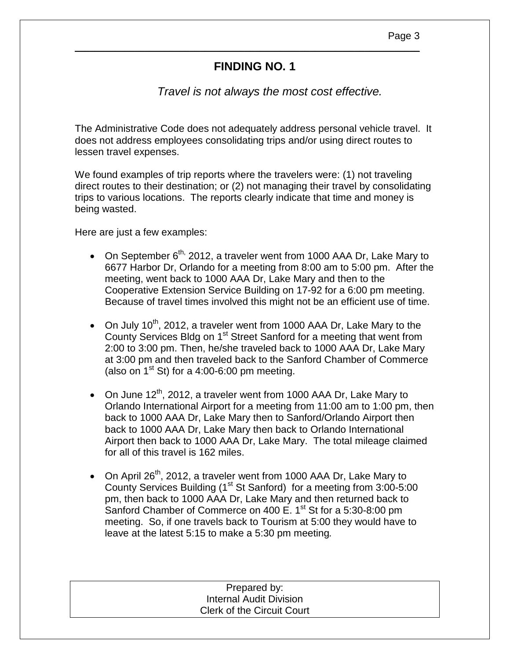# **FINDING NO. 1**

\_\_\_\_\_\_\_\_\_\_\_\_\_\_\_\_\_\_\_\_\_\_\_\_\_\_\_\_\_\_\_\_\_\_\_\_\_\_\_\_\_\_\_\_\_\_\_\_\_\_\_\_\_\_\_\_\_\_\_\_\_\_\_\_\_\_\_\_\_

### *Travel is not always the most cost effective.*

The Administrative Code does not adequately address personal vehicle travel. It does not address employees consolidating trips and/or using direct routes to lessen travel expenses.

We found examples of trip reports where the travelers were: (1) not traveling direct routes to their destination; or (2) not managing their travel by consolidating trips to various locations. The reports clearly indicate that time and money is being wasted.

Here are just a few examples:

- On September  $6^{th}$ , 2012, a traveler went from 1000 AAA Dr, Lake Mary to 6677 Harbor Dr, Orlando for a meeting from 8:00 am to 5:00 pm. After the meeting, went back to 1000 AAA Dr, Lake Mary and then to the Cooperative Extension Service Building on 17-92 for a 6:00 pm meeting. Because of travel times involved this might not be an efficient use of time.
- On July  $10^{th}$ , 2012, a traveler went from 1000 AAA Dr, Lake Mary to the County Services Bldg on 1<sup>st</sup> Street Sanford for a meeting that went from 2:00 to 3:00 pm. Then, he/she traveled back to 1000 AAA Dr, Lake Mary at 3:00 pm and then traveled back to the Sanford Chamber of Commerce (also on  $1<sup>st</sup>$  St) for a 4:00-6:00 pm meeting.
- On June  $12^{th}$ , 2012, a traveler went from 1000 AAA Dr, Lake Mary to Orlando International Airport for a meeting from 11:00 am to 1:00 pm, then back to 1000 AAA Dr, Lake Mary then to Sanford/Orlando Airport then back to 1000 AAA Dr, Lake Mary then back to Orlando International Airport then back to 1000 AAA Dr, Lake Mary. The total mileage claimed for all of this travel is 162 miles.
- On April 26<sup>th</sup>, 2012, a traveler went from 1000 AAA Dr, Lake Mary to County Services Building ( $1<sup>st</sup>$  St Sanford) for a meeting from 3:00-5:00 pm, then back to 1000 AAA Dr, Lake Mary and then returned back to Sanford Chamber of Commerce on 400 E. 1<sup>st</sup> St for a 5:30-8:00 pm meeting. So, if one travels back to Tourism at 5:00 they would have to leave at the latest 5:15 to make a 5:30 pm meeting*.*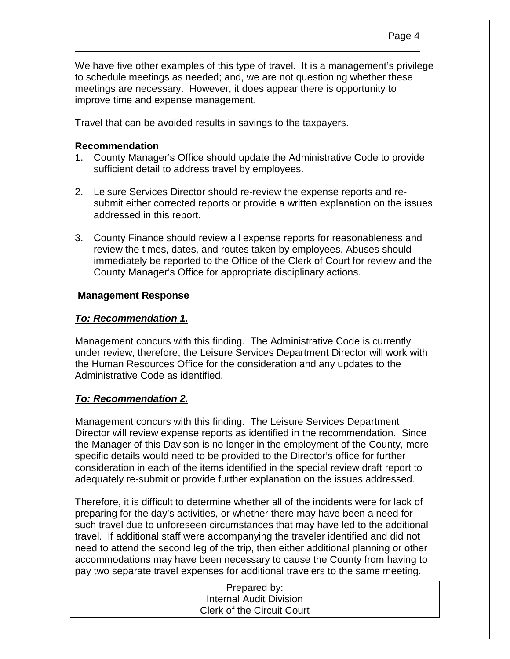\_\_\_\_\_\_\_\_\_\_\_\_\_\_\_\_\_\_\_\_\_\_\_\_\_\_\_\_\_\_\_\_\_\_\_\_\_\_\_\_\_\_\_\_\_\_\_\_\_\_\_\_\_\_\_\_\_\_\_\_\_\_\_\_\_\_\_\_\_

Travel that can be avoided results in savings to the taxpayers.

### **Recommendation**

- 1. County Manager's Office should update the Administrative Code to provide sufficient detail to address travel by employees.
- 2. Leisure Services Director should re-review the expense reports and resubmit either corrected reports or provide a written explanation on the issues addressed in this report.
- 3. County Finance should review all expense reports for reasonableness and review the times, dates, and routes taken by employees. Abuses should immediately be reported to the Office of the Clerk of Court for review and the County Manager's Office for appropriate disciplinary actions.

### **Management Response**

### *To: Recommendation 1.*

Management concurs with this finding. The Administrative Code is currently under review, therefore, the Leisure Services Department Director will work with the Human Resources Office for the consideration and any updates to the Administrative Code as identified.

### *To: Recommendation 2.*

Management concurs with this finding. The Leisure Services Department Director will review expense reports as identified in the recommendation. Since the Manager of this Davison is no longer in the employment of the County, more specific details would need to be provided to the Director's office for further consideration in each of the items identified in the special review draft report to adequately re-submit or provide further explanation on the issues addressed.

Therefore, it is difficult to determine whether all of the incidents were for lack of preparing for the day's activities, or whether there may have been a need for such travel due to unforeseen circumstances that may have led to the additional travel. If additional staff were accompanying the traveler identified and did not need to attend the second leg of the trip, then either additional planning or other accommodations may have been necessary to cause the County from having to pay two separate travel expenses for additional travelers to the same meeting.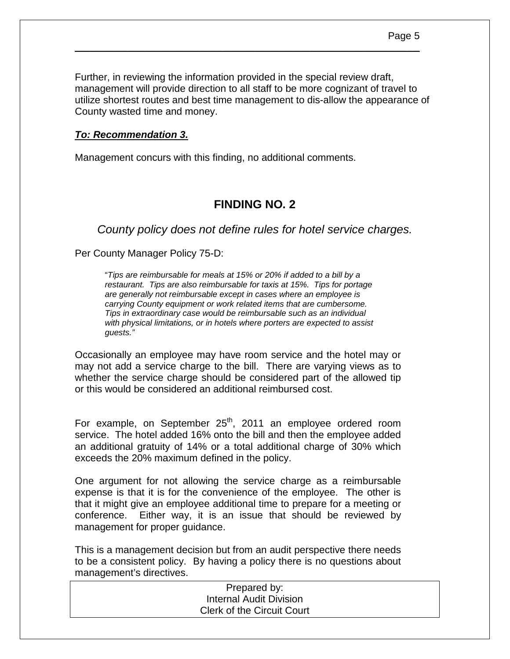Further, in reviewing the information provided in the special review draft, management will provide direction to all staff to be more cognizant of travel to utilize shortest routes and best time management to dis-allow the appearance of County wasted time and money.

\_\_\_\_\_\_\_\_\_\_\_\_\_\_\_\_\_\_\_\_\_\_\_\_\_\_\_\_\_\_\_\_\_\_\_\_\_\_\_\_\_\_\_\_\_\_\_\_\_\_\_\_\_\_\_\_\_\_\_\_\_\_\_\_\_\_\_\_\_

#### *To: Recommendation 3.*

Management concurs with this finding, no additional comments.

# **FINDING NO. 2**

*County policy does not define rules for hotel service charges.*

Per County Manager Policy 75-D:

"*Tips are reimbursable for meals at 15% or 20% if added to a bill by a restaurant. Tips are also reimbursable for taxis at 15%. Tips for portage are generally not reimbursable except in cases where an employee is carrying County equipment or work related items that are cumbersome. Tips in extraordinary case would be reimbursable such as an individual with physical limitations, or in hotels where porters are expected to assist guests."*

Occasionally an employee may have room service and the hotel may or may not add a service charge to the bill. There are varying views as to whether the service charge should be considered part of the allowed tip or this would be considered an additional reimbursed cost.

For example, on September  $25<sup>th</sup>$ , 2011 an employee ordered room service. The hotel added 16% onto the bill and then the employee added an additional gratuity of 14% or a total additional charge of 30% which exceeds the 20% maximum defined in the policy.

One argument for not allowing the service charge as a reimbursable expense is that it is for the convenience of the employee. The other is that it might give an employee additional time to prepare for a meeting or conference. Either way, it is an issue that should be reviewed by management for proper guidance.

This is a management decision but from an audit perspective there needs to be a consistent policy. By having a policy there is no questions about management's directives.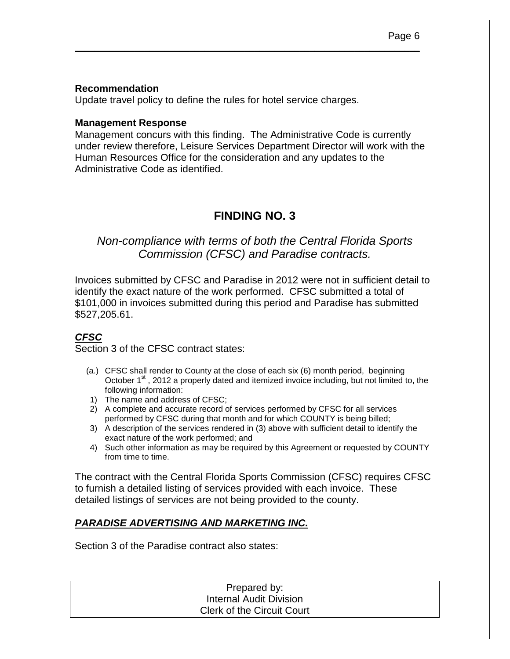#### **Recommendation**

Update travel policy to define the rules for hotel service charges.

#### **Management Response**

Management concurs with this finding. The Administrative Code is currently under review therefore, Leisure Services Department Director will work with the Human Resources Office for the consideration and any updates to the Administrative Code as identified.

\_\_\_\_\_\_\_\_\_\_\_\_\_\_\_\_\_\_\_\_\_\_\_\_\_\_\_\_\_\_\_\_\_\_\_\_\_\_\_\_\_\_\_\_\_\_\_\_\_\_\_\_\_\_\_\_\_\_\_\_\_\_\_\_\_\_\_\_\_

# **FINDING NO. 3**

# *Non-compliance with terms of both the Central Florida Sports Commission (CFSC) and Paradise contracts.*

Invoices submitted by CFSC and Paradise in 2012 were not in sufficient detail to identify the exact nature of the work performed. CFSC submitted a total of \$101,000 in invoices submitted during this period and Paradise has submitted \$527,205.61.

### *CFSC*

Section 3 of the CFSC contract states:

- (a.) CFSC shall render to County at the close of each six (6) month period, beginning October  $1<sup>st</sup>$ , 2012 a properly dated and itemized invoice including, but not limited to, the following information:
- 1) The name and address of CFSC;
- 2) A complete and accurate record of services performed by CFSC for all services performed by CFSC during that month and for which COUNTY is being billed;
- 3) A description of the services rendered in (3) above with sufficient detail to identify the exact nature of the work performed; and
- 4) Such other information as may be required by this Agreement or requested by COUNTY from time to time.

The contract with the Central Florida Sports Commission (CFSC) requires CFSC to furnish a detailed listing of services provided with each invoice. These detailed listings of services are not being provided to the county.

### *PARADISE ADVERTISING AND MARKETING INC.*

Section 3 of the Paradise contract also states: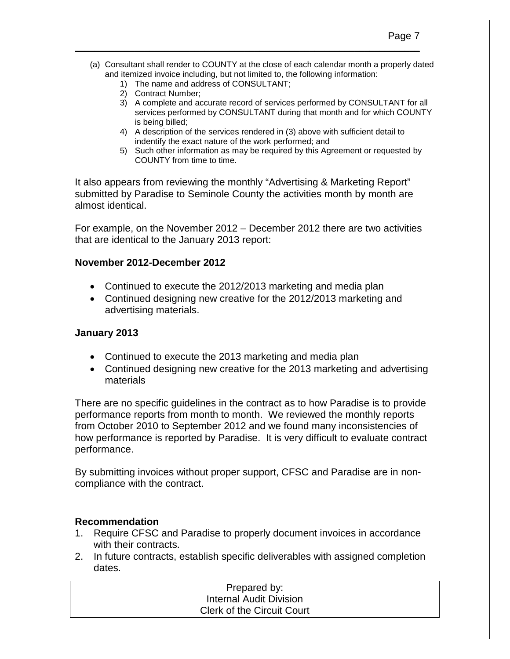(a) Consultant shall render to COUNTY at the close of each calendar month a properly dated and itemized invoice including, but not limited to, the following information:

\_\_\_\_\_\_\_\_\_\_\_\_\_\_\_\_\_\_\_\_\_\_\_\_\_\_\_\_\_\_\_\_\_\_\_\_\_\_\_\_\_\_\_\_\_\_\_\_\_\_\_\_\_\_\_\_\_\_\_\_\_\_\_\_\_\_\_\_\_

- 1) The name and address of CONSULTANT;
- 2) Contract Number;
- 3) A complete and accurate record of services performed by CONSULTANT for all services performed by CONSULTANT during that month and for which COUNTY is being billed;
- 4) A description of the services rendered in (3) above with sufficient detail to indentify the exact nature of the work performed; and
- 5) Such other information as may be required by this Agreement or requested by COUNTY from time to time.

It also appears from reviewing the monthly "Advertising & Marketing Report" submitted by Paradise to Seminole County the activities month by month are almost identical.

For example, on the November 2012 – December 2012 there are two activities that are identical to the January 2013 report:

#### **November 2012-December 2012**

- Continued to execute the 2012/2013 marketing and media plan
- Continued designing new creative for the 2012/2013 marketing and advertising materials.

#### **January 2013**

- Continued to execute the 2013 marketing and media plan
- Continued designing new creative for the 2013 marketing and advertising materials

There are no specific guidelines in the contract as to how Paradise is to provide performance reports from month to month. We reviewed the monthly reports from October 2010 to September 2012 and we found many inconsistencies of how performance is reported by Paradise. It is very difficult to evaluate contract performance.

By submitting invoices without proper support, CFSC and Paradise are in noncompliance with the contract.

#### **Recommendation**

- 1. Require CFSC and Paradise to properly document invoices in accordance with their contracts.
- 2. In future contracts, establish specific deliverables with assigned completion dates.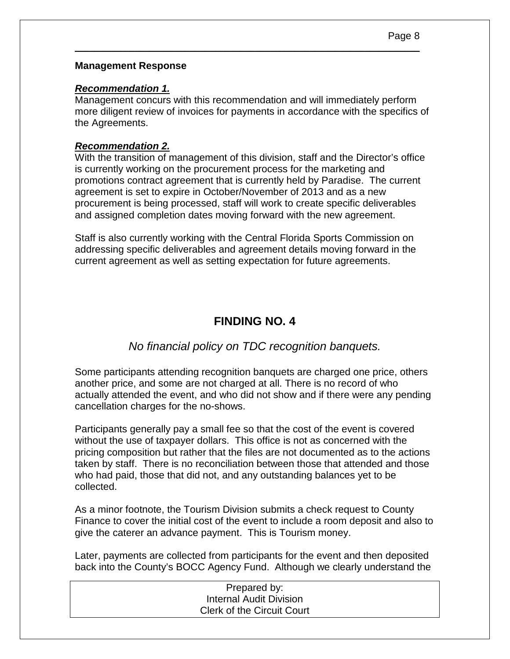#### **Management Response**

#### *Recommendation 1.*

Management concurs with this recommendation and will immediately perform more diligent review of invoices for payments in accordance with the specifics of the Agreements.

\_\_\_\_\_\_\_\_\_\_\_\_\_\_\_\_\_\_\_\_\_\_\_\_\_\_\_\_\_\_\_\_\_\_\_\_\_\_\_\_\_\_\_\_\_\_\_\_\_\_\_\_\_\_\_\_\_\_\_\_\_\_\_\_\_\_\_\_\_

#### *Recommendation 2.*

With the transition of management of this division, staff and the Director's office is currently working on the procurement process for the marketing and promotions contract agreement that is currently held by Paradise. The current agreement is set to expire in October/November of 2013 and as a new procurement is being processed, staff will work to create specific deliverables and assigned completion dates moving forward with the new agreement.

Staff is also currently working with the Central Florida Sports Commission on addressing specific deliverables and agreement details moving forward in the current agreement as well as setting expectation for future agreements.

# **FINDING NO. 4**

### *No financial policy on TDC recognition banquets.*

Some participants attending recognition banquets are charged one price, others another price, and some are not charged at all. There is no record of who actually attended the event, and who did not show and if there were any pending cancellation charges for the no-shows.

Participants generally pay a small fee so that the cost of the event is covered without the use of taxpayer dollars. This office is not as concerned with the pricing composition but rather that the files are not documented as to the actions taken by staff. There is no reconciliation between those that attended and those who had paid, those that did not, and any outstanding balances yet to be collected.

As a minor footnote, the Tourism Division submits a check request to County Finance to cover the initial cost of the event to include a room deposit and also to give the caterer an advance payment. This is Tourism money.

Later, payments are collected from participants for the event and then deposited back into the County's BOCC Agency Fund. Although we clearly understand the

| Prepared by:                      |  |
|-----------------------------------|--|
| Internal Audit Division           |  |
| <b>Clerk of the Circuit Court</b> |  |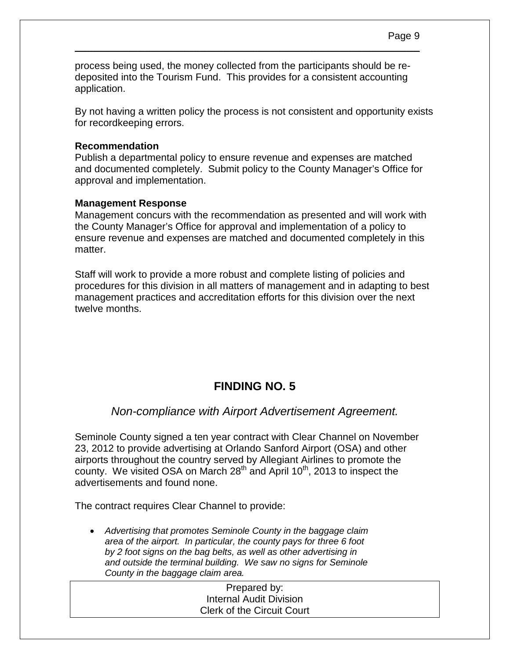\_\_\_\_\_\_\_\_\_\_\_\_\_\_\_\_\_\_\_\_\_\_\_\_\_\_\_\_\_\_\_\_\_\_\_\_\_\_\_\_\_\_\_\_\_\_\_\_\_\_\_\_\_\_\_\_\_\_\_\_\_\_\_\_\_\_\_\_\_

By not having a written policy the process is not consistent and opportunity exists for recordkeeping errors.

### **Recommendation**

Publish a departmental policy to ensure revenue and expenses are matched and documented completely. Submit policy to the County Manager's Office for approval and implementation.

## **Management Response**

Management concurs with the recommendation as presented and will work with the County Manager's Office for approval and implementation of a policy to ensure revenue and expenses are matched and documented completely in this matter.

Staff will work to provide a more robust and complete listing of policies and procedures for this division in all matters of management and in adapting to best management practices and accreditation efforts for this division over the next twelve months.

# **FINDING NO. 5**

# *Non-compliance with Airport Advertisement Agreement.*

Seminole County signed a ten year contract with Clear Channel on November 23, 2012 to provide advertising at Orlando Sanford Airport (OSA) and other airports throughout the country served by Allegiant Airlines to promote the county. We visited OSA on March  $28<sup>th</sup>$  and April 10<sup>th</sup>, 2013 to inspect the advertisements and found none.

The contract requires Clear Channel to provide:

• *Advertising that promotes Seminole County in the baggage claim area of the airport. In particular, the county pays for three 6 foot by 2 foot signs on the bag belts, as well as other advertising in and outside the terminal building. We saw no signs for Seminole County in the baggage claim area.*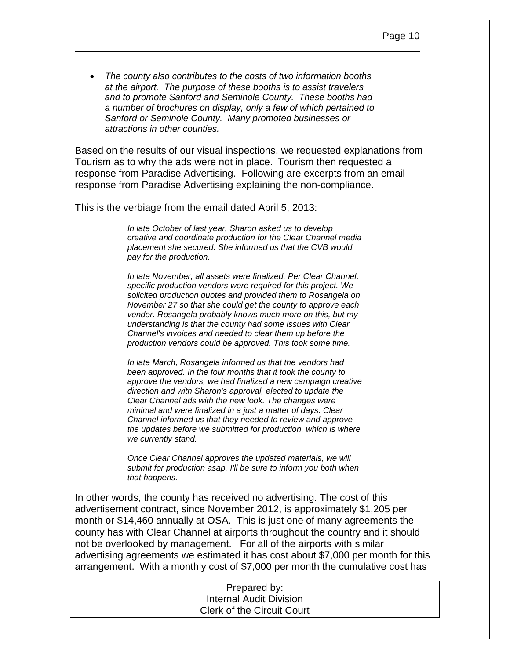• *The county also contributes to the costs of two information booths at the airport. The purpose of these booths is to assist travelers and to promote Sanford and Seminole County. These booths had a number of brochures on display, only a few of which pertained to Sanford or Seminole County. Many promoted businesses or attractions in other counties.*

\_\_\_\_\_\_\_\_\_\_\_\_\_\_\_\_\_\_\_\_\_\_\_\_\_\_\_\_\_\_\_\_\_\_\_\_\_\_\_\_\_\_\_\_\_\_\_\_\_\_\_\_\_\_\_\_\_\_\_\_\_\_\_\_\_\_\_\_\_

Based on the results of our visual inspections, we requested explanations from Tourism as to why the ads were not in place. Tourism then requested a response from Paradise Advertising. Following are excerpts from an email response from Paradise Advertising explaining the non-compliance.

This is the verbiage from the email dated April 5, 2013:

*In late October of last year, Sharon asked us to develop creative and coordinate production for the Clear Channel media placement she secured. She informed us that the CVB would pay for the production.*

*In late November, all assets were finalized. Per Clear Channel, specific production vendors were required for this project. We solicited production quotes and provided them to Rosangela on November 27 so that she could get the county to approve each vendor. Rosangela probably knows much more on this, but my understanding is that the county had some issues with Clear Channel's invoices and needed to clear them up before the production vendors could be approved. This took some time.*

*In late March, Rosangela informed us that the vendors had been approved. In the four months that it took the county to approve the vendors, we had finalized a new campaign creative direction and with Sharon's approval, elected to update the Clear Channel ads with the new look. The changes were minimal and were finalized in a just a matter of days. Clear Channel informed us that they needed to review and approve the updates before we submitted for production, which is where we currently stand.*

*Once Clear Channel approves the updated materials, we will submit for production asap. I'll be sure to inform you both when that happens.*

In other words, the county has received no advertising. The cost of this advertisement contract, since November 2012, is approximately \$1,205 per month or \$14,460 annually at OSA. This is just one of many agreements the county has with Clear Channel at airports throughout the country and it should not be overlooked by management. For all of the airports with similar advertising agreements we estimated it has cost about \$7,000 per month for this arrangement. With a monthly cost of \$7,000 per month the cumulative cost has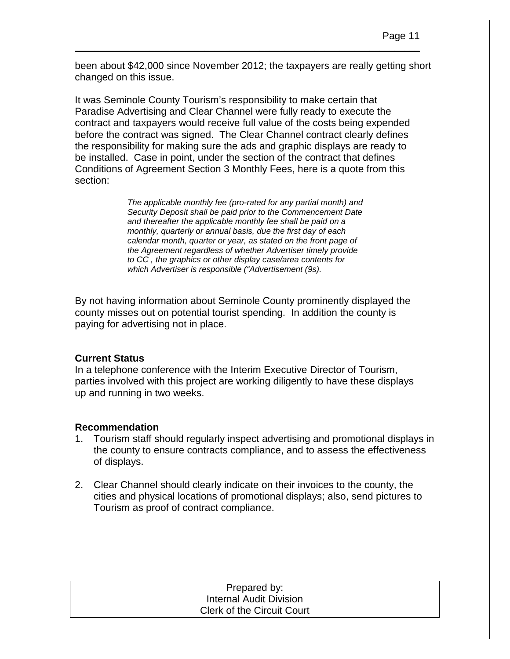been about \$42,000 since November 2012; the taxpayers are really getting short changed on this issue.

\_\_\_\_\_\_\_\_\_\_\_\_\_\_\_\_\_\_\_\_\_\_\_\_\_\_\_\_\_\_\_\_\_\_\_\_\_\_\_\_\_\_\_\_\_\_\_\_\_\_\_\_\_\_\_\_\_\_\_\_\_\_\_\_\_\_\_\_\_

It was Seminole County Tourism's responsibility to make certain that Paradise Advertising and Clear Channel were fully ready to execute the contract and taxpayers would receive full value of the costs being expended before the contract was signed. The Clear Channel contract clearly defines the responsibility for making sure the ads and graphic displays are ready to be installed. Case in point, under the section of the contract that defines Conditions of Agreement Section 3 Monthly Fees, here is a quote from this section:

> *The applicable monthly fee (pro-rated for any partial month) and Security Deposit shall be paid prior to the Commencement Date and thereafter the applicable monthly fee shall be paid on a monthly, quarterly or annual basis, due the first day of each calendar month, quarter or year, as stated on the front page of the Agreement regardless of whether Advertiser timely provide to CC , the graphics or other display case/area contents for which Advertiser is responsible ("Advertisement (9s).*

By not having information about Seminole County prominently displayed the county misses out on potential tourist spending. In addition the county is paying for advertising not in place.

#### **Current Status**

In a telephone conference with the Interim Executive Director of Tourism, parties involved with this project are working diligently to have these displays up and running in two weeks.

#### **Recommendation**

- 1. Tourism staff should regularly inspect advertising and promotional displays in the county to ensure contracts compliance, and to assess the effectiveness of displays.
- 2. Clear Channel should clearly indicate on their invoices to the county, the cities and physical locations of promotional displays; also, send pictures to Tourism as proof of contract compliance.

| Prepared by:                      |
|-----------------------------------|
| <b>Internal Audit Division</b>    |
| <b>Clerk of the Circuit Court</b> |